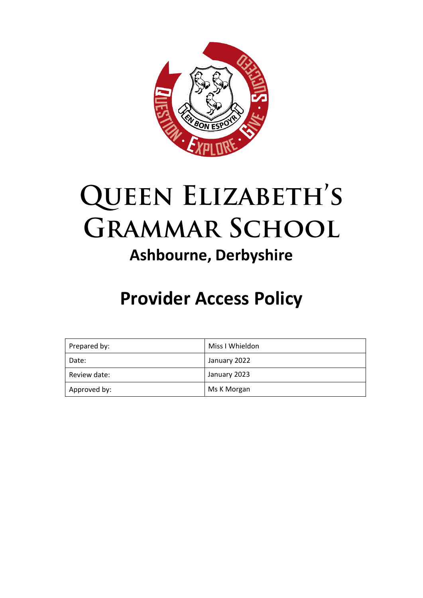

# **QUEEN ELIZABETH'S GRAMMAR SCHOOL Ashbourne, Derbyshire**

## **Provider Access Policy**

| Prepared by: | Miss I Whieldon |
|--------------|-----------------|
| Date:        | January 2022    |
| Review date: | January 2023    |
| Approved by: | Ms K Morgan     |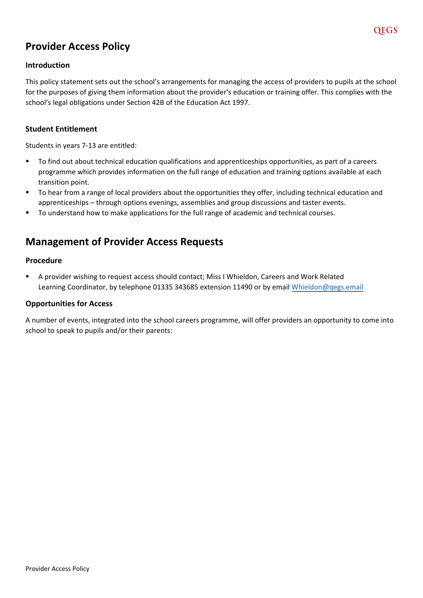## **Provider Access Policy**

#### **Introduction**

This policy statement sets out the school's arrangements for managing the access of providers to pupils at the school for the purposes of giving them information about the provider's education or training offer. This complies with the school's legal obligations under Section 42B of the Education Act 1997.

#### **Student Entitlement**

Students in years 7-13 are entitled:

- To find out about technical education qualifications and apprenticeships opportunities, as part of a careers programme which provides information on the full range of education and training options available at each transition point.
- To hear from a range of local providers about the opportunities they offer, including technical education and apprenticeships – through options evenings, assemblies and group discussions and taster events.
- To understand how to make applications for the full range of academic and technical courses.

### **Management of Provider Access Requests**

#### **Procedure**

 A provider wishing to request access should contact; Miss I Whieldon, Careers and Work Related Learning Coordinator, by telephone 01335 343685 extension 11490 or by email [Whieldon](mailto:Bains@qegs.email)@qegs.email

#### **Opportunities for Access**

A number of events, integrated into the school careers programme, will offer providers an opportunity to come into school to speak to pupils and/or their parents: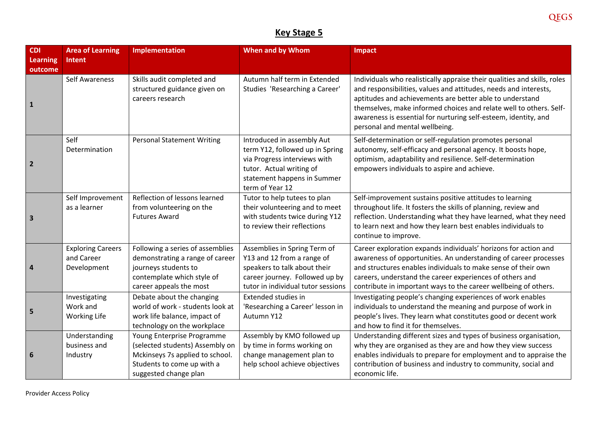## **Key Stage 5**

| <b>CDI</b>                 | <b>Area of Learning</b>                               | <b>Implementation</b>                                                                                                                                   | When and by Whom                                                                                                                                                            | <b>Impact</b>                                                                                                                                                                                                                                                                                                                                                                       |
|----------------------------|-------------------------------------------------------|---------------------------------------------------------------------------------------------------------------------------------------------------------|-----------------------------------------------------------------------------------------------------------------------------------------------------------------------------|-------------------------------------------------------------------------------------------------------------------------------------------------------------------------------------------------------------------------------------------------------------------------------------------------------------------------------------------------------------------------------------|
| <b>Learning</b><br>outcome | Intent                                                |                                                                                                                                                         |                                                                                                                                                                             |                                                                                                                                                                                                                                                                                                                                                                                     |
| $\mathbf{1}$               | <b>Self Awareness</b>                                 | Skills audit completed and<br>structured guidance given on<br>careers research                                                                          | Autumn half term in Extended<br>Studies 'Researching a Career'                                                                                                              | Individuals who realistically appraise their qualities and skills, roles<br>and responsibilities, values and attitudes, needs and interests,<br>aptitudes and achievements are better able to understand<br>themselves, make informed choices and relate well to others. Self-<br>awareness is essential for nurturing self-esteem, identity, and<br>personal and mental wellbeing. |
| $\overline{\mathbf{2}}$    | Self<br>Determination                                 | <b>Personal Statement Writing</b>                                                                                                                       | Introduced in assembly Aut<br>term Y12, followed up in Spring<br>via Progress interviews with<br>tutor. Actual writing of<br>statement happens in Summer<br>term of Year 12 | Self-determination or self-regulation promotes personal<br>autonomy, self-efficacy and personal agency. It boosts hope,<br>optimism, adaptability and resilience. Self-determination<br>empowers individuals to aspire and achieve.                                                                                                                                                 |
| $\overline{\mathbf{3}}$    | Self Improvement<br>as a learner                      | Reflection of lessons learned<br>from volunteering on the<br><b>Futures Award</b>                                                                       | Tutor to help tutees to plan<br>their volunteering and to meet<br>with students twice during Y12<br>to review their reflections                                             | Self-improvement sustains positive attitudes to learning<br>throughout life. It fosters the skills of planning, review and<br>reflection. Understanding what they have learned, what they need<br>to learn next and how they learn best enables individuals to<br>continue to improve.                                                                                              |
| $\overline{4}$             | <b>Exploring Careers</b><br>and Career<br>Development | Following a series of assemblies<br>demonstrating a range of career<br>journeys students to<br>contemplate which style of<br>career appeals the most    | Assemblies in Spring Term of<br>Y13 and 12 from a range of<br>speakers to talk about their<br>career journey. Followed up by<br>tutor in individual tutor sessions          | Career exploration expands individuals' horizons for action and<br>awareness of opportunities. An understanding of career processes<br>and structures enables individuals to make sense of their own<br>careers, understand the career experiences of others and<br>contribute in important ways to the career wellbeing of others.                                                 |
| 5                          | Investigating<br>Work and<br><b>Working Life</b>      | Debate about the changing<br>world of work - students look at<br>work life balance, impact of<br>technology on the workplace                            | Extended studies in<br>'Researching a Career' lesson in<br>Autumn Y12                                                                                                       | Investigating people's changing experiences of work enables<br>individuals to understand the meaning and purpose of work in<br>people's lives. They learn what constitutes good or decent work<br>and how to find it for themselves.                                                                                                                                                |
| 6                          | Understanding<br>business and<br>Industry             | Young Enterprise Programme<br>(selected students) Assembly on<br>Mckinseys 7s applied to school.<br>Students to come up with a<br>suggested change plan | Assembly by KMO followed up<br>by time in forms working on<br>change management plan to<br>help school achieve objectives                                                   | Understanding different sizes and types of business organisation,<br>why they are organised as they are and how they view success<br>enables individuals to prepare for employment and to appraise the<br>contribution of business and industry to community, social and<br>economic life.                                                                                          |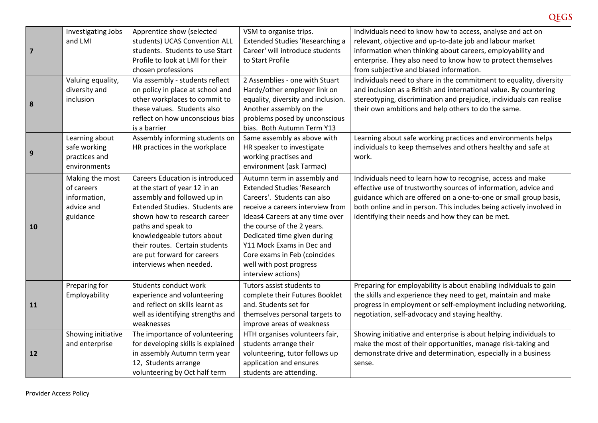|                         | Investigating Jobs | Apprentice show (selected                                          | VSM to organise trips.                                   | Individuals need to know how to access, analyse and act on                                                                    |
|-------------------------|--------------------|--------------------------------------------------------------------|----------------------------------------------------------|-------------------------------------------------------------------------------------------------------------------------------|
|                         | and LMI            | students) UCAS Convention ALL                                      | <b>Extended Studies 'Researching a</b>                   | relevant, objective and up-to-date job and labour market                                                                      |
| $\overline{\mathbf{z}}$ |                    | students. Students to use Start                                    | Career' will introduce students                          | information when thinking about careers, employability and                                                                    |
|                         |                    | Profile to look at LMI for their                                   | to Start Profile                                         | enterprise. They also need to know how to protect themselves                                                                  |
|                         |                    | chosen professions                                                 |                                                          | from subjective and biased information.                                                                                       |
|                         | Valuing equality,  | Via assembly - students reflect                                    | 2 Assemblies - one with Stuart                           | Individuals need to share in the commitment to equality, diversity                                                            |
|                         | diversity and      | on policy in place at school and                                   | Hardy/other employer link on                             | and inclusion as a British and international value. By countering                                                             |
|                         | inclusion          | other workplaces to commit to                                      | equality, diversity and inclusion.                       | stereotyping, discrimination and prejudice, individuals can realise                                                           |
| 8                       |                    | these values. Students also                                        | Another assembly on the                                  | their own ambitions and help others to do the same.                                                                           |
|                         |                    | reflect on how unconscious bias                                    | problems posed by unconscious                            |                                                                                                                               |
|                         |                    | is a barrier                                                       | bias. Both Autumn Term Y13                               |                                                                                                                               |
|                         | Learning about     | Assembly informing students on                                     | Same assembly as above with                              | Learning about safe working practices and environments helps                                                                  |
|                         | safe working       | HR practices in the workplace                                      | HR speaker to investigate                                | individuals to keep themselves and others healthy and safe at                                                                 |
| 9                       | practices and      |                                                                    | working practises and                                    | work.                                                                                                                         |
|                         | environments       |                                                                    | environment (ask Tarmac)                                 |                                                                                                                               |
|                         | Making the most    | <b>Careers Education is introduced</b>                             | Autumn term in assembly and                              | Individuals need to learn how to recognise, access and make                                                                   |
|                         | of careers         | at the start of year 12 in an                                      | <b>Extended Studies 'Research</b>                        | effective use of trustworthy sources of information, advice and                                                               |
|                         | information,       | assembly and followed up in                                        | Careers'. Students can also                              | guidance which are offered on a one-to-one or small group basis,                                                              |
|                         | advice and         | Extended Studies. Students are                                     | receive a careers interview from                         | both online and in person. This includes being actively involved in                                                           |
|                         | guidance           | shown how to research career                                       | Ideas4 Careers at any time over                          | identifying their needs and how they can be met.                                                                              |
| 10                      |                    | paths and speak to                                                 | the course of the 2 years.                               |                                                                                                                               |
|                         |                    | knowledgeable tutors about                                         | Dedicated time given during                              |                                                                                                                               |
|                         |                    | their routes. Certain students                                     | Y11 Mock Exams in Dec and                                |                                                                                                                               |
|                         |                    | are put forward for careers                                        | Core exams in Feb (coincides                             |                                                                                                                               |
|                         |                    | interviews when needed.                                            | well with post progress                                  |                                                                                                                               |
|                         |                    |                                                                    | interview actions)                                       |                                                                                                                               |
|                         | Preparing for      | Students conduct work                                              | Tutors assist students to                                | Preparing for employability is about enabling individuals to gain                                                             |
|                         | Employability      | experience and volunteering                                        | complete their Futures Booklet                           | the skills and experience they need to get, maintain and make                                                                 |
| 11                      |                    | and reflect on skills learnt as                                    | and. Students set for                                    | progress in employment or self-employment including networking,                                                               |
|                         |                    | well as identifying strengths and                                  | themselves personal targets to                           | negotiation, self-advocacy and staying healthy.                                                                               |
|                         |                    | weaknesses                                                         | improve areas of weakness                                |                                                                                                                               |
|                         | Showing initiative | The importance of volunteering                                     | HTH organises volunteers fair,                           | Showing initiative and enterprise is about helping individuals to                                                             |
|                         |                    |                                                                    |                                                          |                                                                                                                               |
| 12                      | and enterprise     | for developing skills is explained<br>in assembly Autumn term year | students arrange their<br>volunteering, tutor follows up | make the most of their opportunities, manage risk-taking and<br>demonstrate drive and determination, especially in a business |
|                         |                    |                                                                    |                                                          |                                                                                                                               |
|                         |                    | 12, Students arrange                                               | application and ensures                                  | sense.                                                                                                                        |
|                         |                    | volunteering by Oct half term                                      | students are attending.                                  |                                                                                                                               |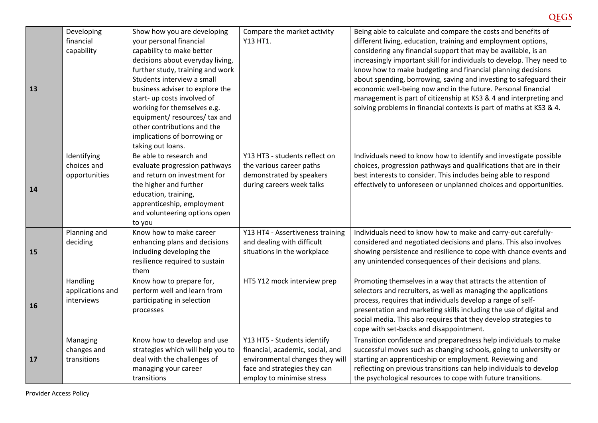| 13        | Developing<br>financial<br>capability       | Show how you are developing<br>your personal financial<br>capability to make better<br>decisions about everyday living,<br>further study, training and work<br>Students interview a small<br>business adviser to explore the<br>start- up costs involved of<br>working for themselves e.g.<br>equipment/ resources/ tax and<br>other contributions and the<br>implications of borrowing or<br>taking out loans. | Compare the market activity<br>Y13 HT1.                                                                                                                         | Being able to calculate and compare the costs and benefits of<br>different living, education, training and employment options,<br>considering any financial support that may be available, is an<br>increasingly important skill for individuals to develop. They need to<br>know how to make budgeting and financial planning decisions<br>about spending, borrowing, saving and investing to safeguard their<br>economic well-being now and in the future. Personal financial<br>management is part of citizenship at KS3 & 4 and interpreting and<br>solving problems in financial contexts is part of maths at KS3 & 4. |
|-----------|---------------------------------------------|-----------------------------------------------------------------------------------------------------------------------------------------------------------------------------------------------------------------------------------------------------------------------------------------------------------------------------------------------------------------------------------------------------------------|-----------------------------------------------------------------------------------------------------------------------------------------------------------------|-----------------------------------------------------------------------------------------------------------------------------------------------------------------------------------------------------------------------------------------------------------------------------------------------------------------------------------------------------------------------------------------------------------------------------------------------------------------------------------------------------------------------------------------------------------------------------------------------------------------------------|
| 14        | Identifying<br>choices and<br>opportunities | Be able to research and<br>evaluate progression pathways<br>and return on investment for<br>the higher and further<br>education, training,<br>apprenticeship, employment<br>and volunteering options open<br>to you                                                                                                                                                                                             | Y13 HT3 - students reflect on<br>the various career paths<br>demonstrated by speakers<br>during careers week talks                                              | Individuals need to know how to identify and investigate possible<br>choices, progression pathways and qualifications that are in their<br>best interests to consider. This includes being able to respond<br>effectively to unforeseen or unplanned choices and opportunities.                                                                                                                                                                                                                                                                                                                                             |
| 15        | Planning and<br>deciding                    | Know how to make career<br>enhancing plans and decisions<br>including developing the<br>resilience required to sustain<br>them                                                                                                                                                                                                                                                                                  | Y13 HT4 - Assertiveness training<br>and dealing with difficult<br>situations in the workplace                                                                   | Individuals need to know how to make and carry-out carefully-<br>considered and negotiated decisions and plans. This also involves<br>showing persistence and resilience to cope with chance events and<br>any unintended consequences of their decisions and plans.                                                                                                                                                                                                                                                                                                                                                        |
| <b>16</b> | Handling<br>applications and<br>interviews  | Know how to prepare for,<br>perform well and learn from<br>participating in selection<br>processes                                                                                                                                                                                                                                                                                                              | HT5 Y12 mock interview prep                                                                                                                                     | Promoting themselves in a way that attracts the attention of<br>selectors and recruiters, as well as managing the applications<br>process, requires that individuals develop a range of self-<br>presentation and marketing skills including the use of digital and<br>social media. This also requires that they develop strategies to<br>cope with set-backs and disappointment.                                                                                                                                                                                                                                          |
| 17        | Managing<br>changes and<br>transitions      | Know how to develop and use<br>strategies which will help you to<br>deal with the challenges of<br>managing your career<br>transitions                                                                                                                                                                                                                                                                          | Y13 HT5 - Students identify<br>financial, academic, social, and<br>environmental changes they will<br>face and strategies they can<br>employ to minimise stress | Transition confidence and preparedness help individuals to make<br>successful moves such as changing schools, going to university or<br>starting an apprenticeship or employment. Reviewing and<br>reflecting on previous transitions can help individuals to develop<br>the psychological resources to cope with future transitions.                                                                                                                                                                                                                                                                                       |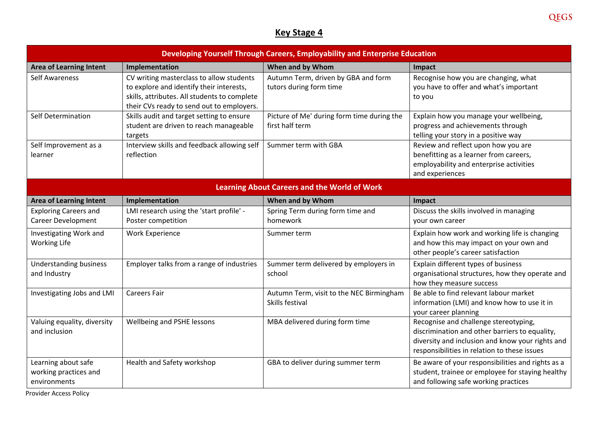## **Key Stage 4**

| Developing Yourself Through Careers, Employability and Enterprise Education |                                                                                                                                                                                   |                                                                |                                                                                                                                                                                             |  |
|-----------------------------------------------------------------------------|-----------------------------------------------------------------------------------------------------------------------------------------------------------------------------------|----------------------------------------------------------------|---------------------------------------------------------------------------------------------------------------------------------------------------------------------------------------------|--|
| <b>Area of Learning Intent</b>                                              | Implementation                                                                                                                                                                    | When and by Whom                                               | Impact                                                                                                                                                                                      |  |
| <b>Self Awareness</b>                                                       | CV writing masterclass to allow students<br>to explore and identify their interests,<br>skills, attributes. All students to complete<br>their CVs ready to send out to employers. | Autumn Term, driven by GBA and form<br>tutors during form time | Recognise how you are changing, what<br>you have to offer and what's important<br>to you                                                                                                    |  |
| Self Determination                                                          | Skills audit and target setting to ensure<br>student are driven to reach manageable<br>targets                                                                                    | Picture of Me' during form time during the<br>first half term  | Explain how you manage your wellbeing,<br>progress and achievements through<br>telling your story in a positive way                                                                         |  |
| Self Improvement as a<br>learner                                            | Interview skills and feedback allowing self<br>reflection                                                                                                                         | Summer term with GBA                                           | Review and reflect upon how you are<br>benefitting as a learner from careers,<br>employability and enterprise activities<br>and experiences                                                 |  |
|                                                                             |                                                                                                                                                                                   | <b>Learning About Careers and the World of Work</b>            |                                                                                                                                                                                             |  |
| <b>Area of Learning Intent</b>                                              | Implementation                                                                                                                                                                    | When and by Whom                                               | Impact                                                                                                                                                                                      |  |
| <b>Exploring Careers and</b><br><b>Career Development</b>                   | LMI research using the 'start profile' -<br>Poster competition                                                                                                                    | Spring Term during form time and<br>homework                   | Discuss the skills involved in managing<br>your own career                                                                                                                                  |  |
| Investigating Work and<br><b>Working Life</b>                               | <b>Work Experience</b>                                                                                                                                                            | Summer term                                                    | Explain how work and working life is changing<br>and how this may impact on your own and<br>other people's career satisfaction                                                              |  |
| <b>Understanding business</b><br>and Industry                               | Employer talks from a range of industries                                                                                                                                         | Summer term delivered by employers in<br>school                | Explain different types of business<br>organisational structures, how they operate and<br>how they measure success                                                                          |  |
| Investigating Jobs and LMI                                                  | <b>Careers Fair</b>                                                                                                                                                               | Autumn Term, visit to the NEC Birmingham<br>Skills festival    | Be able to find relevant labour market<br>information (LMI) and know how to use it in<br>your career planning                                                                               |  |
| Valuing equality, diversity<br>and inclusion                                | Wellbeing and PSHE lessons                                                                                                                                                        | MBA delivered during form time                                 | Recognise and challenge stereotyping,<br>discrimination and other barriers to equality,<br>diversity and inclusion and know your rights and<br>responsibilities in relation to these issues |  |
| Learning about safe<br>working practices and<br>environments                | Health and Safety workshop                                                                                                                                                        | GBA to deliver during summer term                              | Be aware of your responsibilities and rights as a<br>student, trainee or employee for staying healthy<br>and following safe working practices                                               |  |

Provider Access Policy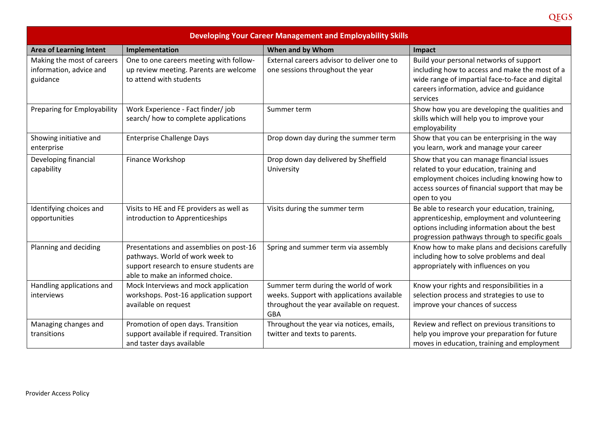| <b>Developing Your Career Management and Employability Skills</b> |                                                                                                                                                           |                                                                                                                                               |                                                                                                                                                                                                       |  |
|-------------------------------------------------------------------|-----------------------------------------------------------------------------------------------------------------------------------------------------------|-----------------------------------------------------------------------------------------------------------------------------------------------|-------------------------------------------------------------------------------------------------------------------------------------------------------------------------------------------------------|--|
| <b>Area of Learning Intent</b>                                    | Implementation                                                                                                                                            | When and by Whom                                                                                                                              | Impact                                                                                                                                                                                                |  |
| Making the most of careers<br>information, advice and<br>guidance | One to one careers meeting with follow-<br>up review meeting. Parents are welcome<br>to attend with students                                              | External careers advisor to deliver one to<br>one sessions throughout the year                                                                | Build your personal networks of support<br>including how to access and make the most of a<br>wide range of impartial face-to-face and digital<br>careers information, advice and guidance<br>services |  |
| Preparing for Employability                                       | Work Experience - Fact finder/job<br>search/ how to complete applications                                                                                 | Summer term                                                                                                                                   | Show how you are developing the qualities and<br>skills which will help you to improve your<br>employability                                                                                          |  |
| Showing initiative and<br>enterprise                              | <b>Enterprise Challenge Days</b>                                                                                                                          | Drop down day during the summer term                                                                                                          | Show that you can be enterprising in the way<br>you learn, work and manage your career                                                                                                                |  |
| Developing financial<br>capability                                | Finance Workshop                                                                                                                                          | Drop down day delivered by Sheffield<br>University                                                                                            | Show that you can manage financial issues<br>related to your education, training and<br>employment choices including knowing how to<br>access sources of financial support that may be<br>open to you |  |
| Identifying choices and<br>opportunities                          | Visits to HE and FE providers as well as<br>introduction to Apprenticeships                                                                               | Visits during the summer term                                                                                                                 | Be able to research your education, training,<br>apprenticeship, employment and volunteering<br>options including information about the best<br>progression pathways through to specific goals        |  |
| Planning and deciding                                             | Presentations and assemblies on post-16<br>pathways. World of work week to<br>support research to ensure students are<br>able to make an informed choice. | Spring and summer term via assembly                                                                                                           | Know how to make plans and decisions carefully<br>including how to solve problems and deal<br>appropriately with influences on you                                                                    |  |
| Handling applications and<br>interviews                           | Mock Interviews and mock application<br>workshops. Post-16 application support<br>available on request                                                    | Summer term during the world of work<br>weeks. Support with applications available<br>throughout the year available on request.<br><b>GBA</b> | Know your rights and responsibilities in a<br>selection process and strategies to use to<br>improve your chances of success                                                                           |  |
| Managing changes and<br>transitions                               | Promotion of open days. Transition<br>support available if required. Transition<br>and taster days available                                              | Throughout the year via notices, emails,<br>twitter and texts to parents.                                                                     | Review and reflect on previous transitions to<br>help you improve your preparation for future<br>moves in education, training and employment                                                          |  |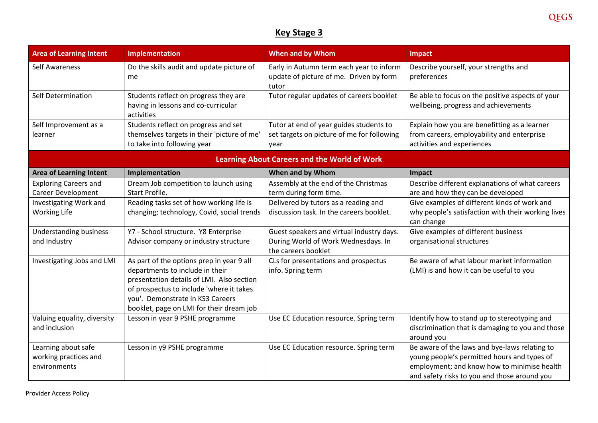## **Key Stage 3**

| <b>Area of Learning Intent</b>                               | Implementation                                                                                                                                                                                                                                        | When and by Whom                                                                                        | <b>Impact</b>                                                                                                                                                                               |
|--------------------------------------------------------------|-------------------------------------------------------------------------------------------------------------------------------------------------------------------------------------------------------------------------------------------------------|---------------------------------------------------------------------------------------------------------|---------------------------------------------------------------------------------------------------------------------------------------------------------------------------------------------|
| <b>Self Awareness</b>                                        | Do the skills audit and update picture of<br>me                                                                                                                                                                                                       | Early in Autumn term each year to inform<br>update of picture of me. Driven by form<br>tutor            | Describe yourself, your strengths and<br>preferences                                                                                                                                        |
| Self Determination                                           | Students reflect on progress they are<br>having in lessons and co-curricular<br>activities                                                                                                                                                            | Tutor regular updates of careers booklet                                                                | Be able to focus on the positive aspects of your<br>wellbeing, progress and achievements                                                                                                    |
| Self Improvement as a<br>learner                             | Students reflect on progress and set<br>themselves targets in their 'picture of me'<br>to take into following year                                                                                                                                    | Tutor at end of year guides students to<br>set targets on picture of me for following<br>year           | Explain how you are benefitting as a learner<br>from careers, employability and enterprise<br>activities and experiences                                                                    |
|                                                              |                                                                                                                                                                                                                                                       | <b>Learning About Careers and the World of Work</b>                                                     |                                                                                                                                                                                             |
| <b>Area of Learning Intent</b>                               | Implementation                                                                                                                                                                                                                                        | When and by Whom                                                                                        | Impact                                                                                                                                                                                      |
| <b>Exploring Careers and</b><br><b>Career Development</b>    | Dream Job competition to launch using<br>Start Profile.                                                                                                                                                                                               | Assembly at the end of the Christmas<br>term during form time.                                          | Describe different explanations of what careers<br>are and how they can be developed                                                                                                        |
| Investigating Work and<br><b>Working Life</b>                | Reading tasks set of how working life is<br>changing; technology, Covid, social trends                                                                                                                                                                | Delivered by tutors as a reading and<br>discussion task. In the careers booklet.                        | Give examples of different kinds of work and<br>why people's satisfaction with their working lives<br>can change                                                                            |
| <b>Understanding business</b><br>and Industry                | Y7 - School structure. Y8 Enterprise<br>Advisor company or industry structure                                                                                                                                                                         | Guest speakers and virtual industry days.<br>During World of Work Wednesdays. In<br>the careers booklet | Give examples of different business<br>organisational structures                                                                                                                            |
| Investigating Jobs and LMI                                   | As part of the options prep in year 9 all<br>departments to include in their<br>presentation details of LMI. Also section<br>of prospectus to include 'where it takes<br>you'. Demonstrate in KS3 Careers<br>booklet, page on LMI for their dream job | CLs for presentations and prospectus<br>info. Spring term                                               | Be aware of what labour market information<br>(LMI) is and how it can be useful to you                                                                                                      |
| Valuing equality, diversity<br>and inclusion                 | Lesson in year 9 PSHE programme                                                                                                                                                                                                                       | Use EC Education resource. Spring term                                                                  | Identify how to stand up to stereotyping and<br>discrimination that is damaging to you and those<br>around you                                                                              |
| Learning about safe<br>working practices and<br>environments | Lesson in y9 PSHE programme                                                                                                                                                                                                                           | Use EC Education resource. Spring term                                                                  | Be aware of the laws and bye-laws relating to<br>young people's permitted hours and types of<br>employment; and know how to minimise health<br>and safety risks to you and those around you |